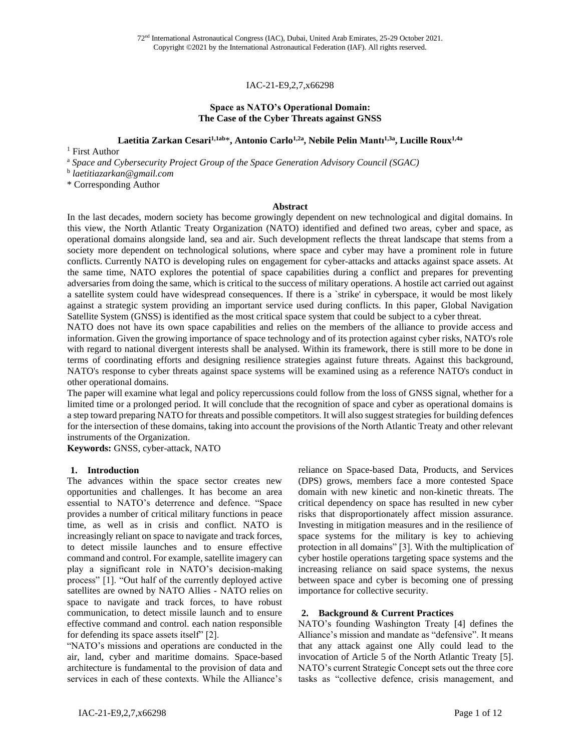### IAC-21-E9,2,7,x66298

### **Space as NATO's Operational Domain: The Case of the Cyber Threats against GNSS**

**Laetitia Zarkan Cesari1,1ab**\***, Antonio Carlo1,2a , Nebile Pelin Mantı1,3a , Lucille Roux1,4a**

<sup>1</sup> First Author

<sup>a</sup> *Space and Cybersecurity Project Group of the Space Generation Advisory Council (SGAC)*

b *laetitiazarkan@gmail.com*

\* Corresponding Author

### **Abstract**

In the last decades, modern society has become growingly dependent on new technological and digital domains. In this view, the North Atlantic Treaty Organization (NATO) identified and defined two areas, cyber and space, as operational domains alongside land, sea and air. Such development reflects the threat landscape that stems from a society more dependent on technological solutions, where space and cyber may have a prominent role in future conflicts. Currently NATO is developing rules on engagement for cyber-attacks and attacks against space assets. At the same time, NATO explores the potential of space capabilities during a conflict and prepares for preventing adversaries from doing the same, which is critical to the success of military operations. A hostile act carried out against a satellite system could have widespread consequences. If there is a `strike' in cyberspace, it would be most likely against a strategic system providing an important service used during conflicts. In this paper, Global Navigation Satellite System (GNSS) is identified as the most critical space system that could be subject to a cyber threat.

NATO does not have its own space capabilities and relies on the members of the alliance to provide access and information. Given the growing importance of space technology and of its protection against cyber risks, NATO's role with regard to national divergent interests shall be analysed. Within its framework, there is still more to be done in terms of coordinating efforts and designing resilience strategies against future threats. Against this background, NATO's response to cyber threats against space systems will be examined using as a reference NATO's conduct in other operational domains.

The paper will examine what legal and policy repercussions could follow from the loss of GNSS signal, whether for a limited time or a prolonged period. It will conclude that the recognition of space and cyber as operational domains is a step toward preparing NATO for threats and possible competitors. It will also suggest strategies for building defences for the intersection of these domains, taking into account the provisions of the North Atlantic Treaty and other relevant instruments of the Organization.

**Keywords:** GNSS, cyber-attack, NATO

### **1. Introduction**

The advances within the space sector creates new opportunities and challenges. It has become an area essential to NATO's deterrence and defence. "Space provides a number of critical military functions in peace time, as well as in crisis and conflict. NATO is increasingly reliant on space to navigate and track forces, to detect missile launches and to ensure effective command and control. For example, satellite imagery can play a significant role in NATO's decision-making process" [1]. "Out half of the currently deployed active satellites are owned by NATO Allies - NATO relies on space to navigate and track forces, to have robust communication, to detect missile launch and to ensure effective command and control. each nation responsible for defending its space assets itself" [2].

"NATO's missions and operations are conducted in the air, land, cyber and maritime domains. Space-based architecture is fundamental to the provision of data and services in each of these contexts. While the Alliance's

reliance on Space-based Data, Products, and Services (DPS) grows, members face a more contested Space domain with new kinetic and non-kinetic threats. The critical dependency on space has resulted in new cyber risks that disproportionately affect mission assurance. Investing in mitigation measures and in the resilience of space systems for the military is key to achieving protection in all domains" [3]. With the multiplication of cyber hostile operations targeting space systems and the increasing reliance on said space systems, the nexus between space and cyber is becoming one of pressing importance for collective security.

### **2. Background & Current Practices**

NATO's founding Washington Treaty [4] defines the Alliance's mission and mandate as "defensive". It means that any attack against one Ally could lead to the invocation of Article 5 of the North Atlantic Treaty [5]. NATO's current Strategic Concept sets out the three core tasks as "collective defence, crisis management, and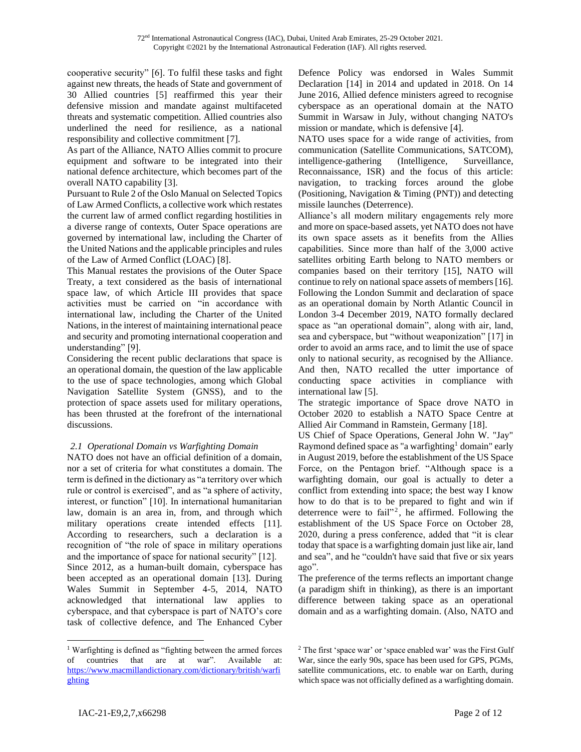cooperative security" [6]. To fulfil these tasks and fight against new threats, the heads of State and government of 30 Allied countries [5] reaffirmed this year their defensive mission and mandate against multifaceted threats and systematic competition. Allied countries also underlined the need for resilience, as a national responsibility and collective commitment [7].

As part of the Alliance, NATO Allies commit to procure equipment and software to be integrated into their national defence architecture, which becomes part of the overall NATO capability [3].

Pursuant to Rule 2 of the Oslo Manual on Selected Topics of Law Armed Conflicts, a collective work which restates the current law of armed conflict regarding hostilities in a diverse range of contexts, Outer Space operations are governed by international law, including the Charter of the United Nations and the applicable principles and rules of the Law of Armed Conflict (LOAC) [8].

This Manual restates the provisions of the Outer Space Treaty, a text considered as the basis of international space law, of which Article III provides that space activities must be carried on "in accordance with international law, including the Charter of the United Nations, in the interest of maintaining international peace and security and promoting international cooperation and understanding" [9].

Considering the recent public declarations that space is an operational domain, the question of the law applicable to the use of space technologies, among which Global Navigation Satellite System (GNSS), and to the protection of space assets used for military operations, has been thrusted at the forefront of the international discussions.

### *2.1 Operational Domain vs Warfighting Domain*

NATO does not have an official definition of a domain, nor a set of criteria for what constitutes a domain. The term is defined in the dictionary as "a territory over which rule or control is exercised", and as "a sphere of activity, interest, or function" [10]. In international humanitarian law, domain is an area in, from, and through which military operations create intended effects [11]. According to researchers, such a declaration is a recognition of "the role of space in military operations and the importance of space for national security" [12]. Since 2012, as a human-built domain, cyberspace has been accepted as an operational domain [13]. During Wales Summit in September 4-5, 2014, NATO acknowledged that international law applies to cyberspace, and that cyberspace is part of NATO's core task of collective defence, and The Enhanced Cyber

<sup>1</sup> Warfighting is defined as "fighting between the armed forces of countries that are at war". Available at: [https://www.macmillandictionary.com/dictionary/british/warfi](https://www.macmillandictionary.com/dictionary/british/warfighting) [ghting](https://www.macmillandictionary.com/dictionary/british/warfighting)

Defence Policy was endorsed in Wales Summit Declaration [14] in 2014 and updated in 2018. On 14 June 2016, Allied defence ministers agreed to recognise cyberspace as an operational domain at the NATO Summit in Warsaw in July, without changing NATO's mission or mandate, which is defensive [4].

NATO uses space for a wide range of activities, from communication (Satellite Communications, SATCOM), intelligence-gathering (Intelligence, Surveillance, Reconnaissance, ISR) and the focus of this article: navigation, to tracking forces around the globe (Positioning, Navigation & Timing (PNT)) and detecting missile launches (Deterrence).

Alliance's all modern military engagements rely more and more on space-based assets, yet NATO does not have its own space assets as it benefits from the Allies capabilities. Since more than half of the 3,000 active satellites orbiting Earth belong to NATO members or companies based on their territory [15], NATO will continue to rely on national space assets of members [16]. Following the London Summit and declaration of space as an operational domain by North Atlantic Council in London 3-4 December 2019, NATO formally declared space as "an operational domain", along with air, land, sea and cyberspace, but "without weaponization" [17] in order to avoid an arms race, and to limit the use of space only to national security, as recognised by the Alliance. And then, NATO recalled the utter importance of conducting space activities in compliance with international law [5].

The strategic importance of Space drove NATO in October 2020 to establish a NATO Space Centre at Allied Air Command in Ramstein, Germany [18].

US Chief of Space Operations, General John W. "Jay" Raymond defined space as "a warfighting<sup>1</sup> domain" early in August 2019, before the establishment of the US Space Force, on the Pentagon brief. "Although space is a warfighting domain, our goal is actually to deter a conflict from extending into space; the best way I know how to do that is to be prepared to fight and win if deterrence were to fail"<sup>2</sup>, he affirmed. Following the establishment of the US Space Force on October 28, 2020, during a press conference, added that "it is clear today that space is a warfighting domain just like air, land and sea", and he "couldn't have said that five or six years ago".

The preference of the terms reflects an important change (a paradigm shift in thinking), as there is an important difference between taking space as an operational domain and as a warfighting domain. (Also, NATO and

<sup>2</sup> The first 'space war' or 'space enabled war' was the First Gulf War, since the early 90s, space has been used for GPS, PGMs, satellite communications, etc. to enable war on Earth, during which space was not officially defined as a warfighting domain.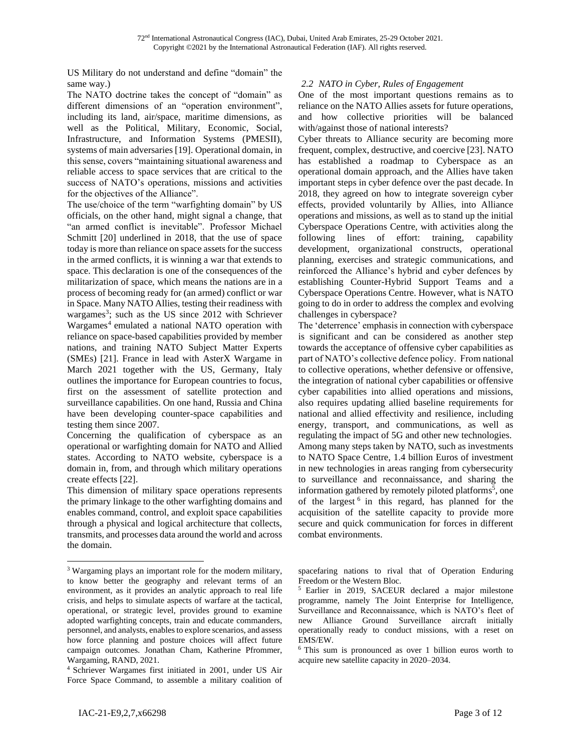US Military do not understand and define "domain" the same way.)

The NATO doctrine takes the concept of "domain" as different dimensions of an "operation environment", including its land, air/space, maritime dimensions, as well as the Political, Military, Economic, Social, Infrastructure, and Information Systems (PMESII), systems of main adversaries [19]. Operational domain, in this sense, covers "maintaining situational awareness and reliable access to space services that are critical to the success of NATO's operations, missions and activities for the objectives of the Alliance".

The use/choice of the term "warfighting domain" by US officials, on the other hand, might signal a change, that "an armed conflict is inevitable". Professor Michael Schmitt [20] underlined in 2018, that the use of space today is more than reliance on space assets for the success in the armed conflicts, it is winning a war that extends to space. This declaration is one of the consequences of the militarization of space, which means the nations are in a process of becoming ready for (an armed) conflict or war in Space. Many NATO Allies, testing their readiness with wargames<sup>3</sup>; such as the US since 2012 with Schriever Wargames<sup>4</sup> emulated a national NATO operation with reliance on space-based capabilities provided by member nations, and training NATO Subject Matter Experts (SMEs) [21]. France in lead with AsterX Wargame in March 2021 together with the US, Germany, Italy outlines the importance for European countries to focus, first on the assessment of satellite protection and surveillance capabilities. On one hand, Russia and China have been developing counter-space capabilities and testing them since 2007.

Concerning the qualification of cyberspace as an operational or warfighting domain for NATO and Allied states. According to NATO website, cyberspace is a domain in, from, and through which military operations create effects [22].

This dimension of military space operations represents the primary linkage to the other warfighting domains and enables command, control, and exploit space capabilities through a physical and logical architecture that collects, transmits, and processes data around the world and across the domain.

# *2.2 NATO in Cyber, Rules of Engagement*

One of the most important questions remains as to reliance on the NATO Allies assets for future operations, and how collective priorities will be balanced with/against those of national interests?

Cyber threats to Alliance security are becoming more frequent, complex, destructive, and coercive [23]. NATO has established a roadmap to Cyberspace as an operational domain approach, and the Allies have taken important steps in cyber defence over the past decade. In 2018, they agreed on how to integrate sovereign cyber effects, provided voluntarily by Allies, into Alliance operations and missions, as well as to stand up the initial Cyberspace Operations Centre, with activities along the following lines of effort: training, capability development, organizational constructs, operational planning, exercises and strategic communications, and reinforced the Alliance's hybrid and cyber defences by establishing Counter-Hybrid Support Teams and a Cyberspace Operations Centre. However, what is NATO going to do in order to address the complex and evolving challenges in cyberspace?

The 'deterrence' emphasis in connection with cyberspace is significant and can be considered as another step towards the acceptance of offensive cyber capabilities as part of NATO's collective defence policy. From national to collective operations, whether defensive or offensive, the integration of national cyber capabilities or offensive cyber capabilities into allied operations and missions, also requires updating allied baseline requirements for national and allied effectivity and resilience, including energy, transport, and communications, as well as regulating the impact of 5G and other new technologies. Among many steps taken by NATO, such as investments to NATO Space Centre, 1.4 billion Euros of investment in new technologies in areas ranging from cybersecurity to surveillance and reconnaissance, and sharing the information gathered by remotely piloted platforms 5 , one of the largest 6 in this regard, has planned for the acquisition of the satellite capacity to provide more secure and quick communication for forces in different combat environments.

<sup>&</sup>lt;sup>3</sup> Wargaming plays an important role for the modern military, to know better the geography and relevant terms of an environment, as it provides an analytic approach to real life crisis, and helps to simulate aspects of warfare at the tactical, operational, or strategic level, provides ground to examine adopted warfighting concepts, train and educate commanders, personnel, and analysts, enables to explore scenarios, and assess how force planning and posture choices will affect future campaign outcomes. Jonathan Cham, Katherine Pfrommer, Wargaming, RAND, 2021.

<sup>4</sup> Schriever Wargames first initiated in 2001, under US Air Force Space Command, to assemble a military coalition of

spacefaring nations to rival that of Operation Enduring Freedom or the Western Bloc.

<sup>5</sup> Earlier in 2019, SACEUR declared a major milestone programme, namely The Joint Enterprise for Intelligence, Surveillance and Reconnaissance, which is NATO's fleet of new Alliance Ground Surveillance aircraft initially operationally ready to conduct missions, with a reset on EMS/EW.

<sup>6</sup> This sum is pronounced as over 1 billion euros worth to acquire new satellite capacity in 2020–2034.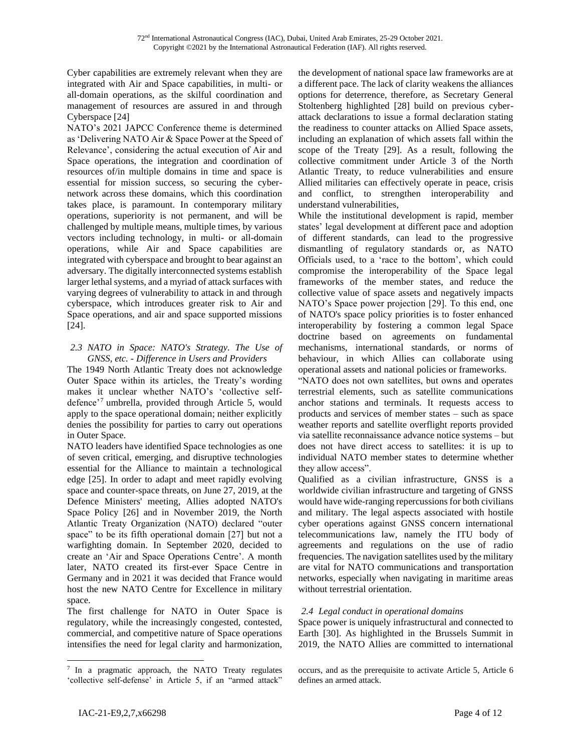Cyber capabilities are extremely relevant when they are integrated with Air and Space capabilities, in multi- or all-domain operations, as the skilful coordination and management of resources are assured in and through Cyberspace [24]

NATO's 2021 JAPCC Conference theme is determined as 'Delivering NATO Air & Space Power at the Speed of Relevance', considering the actual execution of Air and Space operations, the integration and coordination of resources of/in multiple domains in time and space is essential for mission success, so securing the cybernetwork across these domains, which this coordination takes place, is paramount. In contemporary military operations, superiority is not permanent, and will be challenged by multiple means, multiple times, by various vectors including technology, in multi- or all-domain operations, while Air and Space capabilities are integrated with cyberspace and brought to bear against an adversary. The digitally interconnected systems establish larger lethal systems, and a myriad of attack surfaces with varying degrees of vulnerability to attack in and through cyberspace, which introduces greater risk to Air and Space operations, and air and space supported missions [24].

### *2.3 NATO in Space: NATO's Strategy. The Use of GNSS, etc. - Difference in Users and Providers*

The 1949 North Atlantic Treaty does not acknowledge Outer Space within its articles, the Treaty's wording makes it unclear whether NATO's 'collective selfdefence'<sup>7</sup> umbrella, provided through Article 5, would apply to the space operational domain; neither explicitly denies the possibility for parties to carry out operations in Outer Space.

NATO leaders have identified Space technologies as one of seven critical, emerging, and disruptive technologies essential for the Alliance to maintain a technological edge [25]. In order to adapt and meet rapidly evolving space and counter-space threats, on June 27, 2019, at the Defence Ministers' meeting, Allies adopted NATO's Space Policy [26] and in November 2019, the North Atlantic Treaty Organization (NATO) declared "outer space" to be its fifth operational domain [27] but not a warfighting domain. In September 2020, decided to create an 'Air and Space Operations Centre'. A month later, NATO created its first-ever Space Centre in Germany and in 2021 it was decided that France would host the new NATO Centre for Excellence in military space.

The first challenge for NATO in Outer Space is regulatory, while the increasingly congested, contested, commercial, and competitive nature of Space operations intensifies the need for legal clarity and harmonization, the development of national space law frameworks are at a different pace. The lack of clarity weakens the alliances options for deterrence, therefore, as Secretary General Stoltenberg highlighted [28] build on previous cyberattack declarations to issue a formal declaration stating the readiness to counter attacks on Allied Space assets, including an explanation of which assets fall within the scope of the Treaty [29]. As a result, following the collective commitment under Article 3 of the North Atlantic Treaty, to reduce vulnerabilities and ensure Allied militaries can effectively operate in peace, crisis and conflict, to strengthen interoperability and understand vulnerabilities,

While the institutional development is rapid, member states' legal development at different pace and adoption of different standards, can lead to the progressive dismantling of regulatory standards or, as NATO Officials used, to a 'race to the bottom', which could compromise the interoperability of the Space legal frameworks of the member states, and reduce the collective value of space assets and negatively impacts NATO's Space power projection [29]. To this end, one of NATO's space policy priorities is to foster enhanced interoperability by fostering a common legal Space doctrine based on agreements on fundamental mechanisms, international standards, or norms of behaviour, in which Allies can collaborate using operational assets and national policies or frameworks.

"NATO does not own satellites, but owns and operates terrestrial elements, such as satellite communications anchor stations and terminals. It requests access to products and services of member states – such as space weather reports and satellite overflight reports provided via satellite reconnaissance advance notice systems – but does not have direct access to satellites: it is up to individual NATO member states to determine whether they allow access".

Qualified as a civilian infrastructure, GNSS is a worldwide civilian infrastructure and targeting of GNSS would have wide-ranging repercussions for both civilians and military. The legal aspects associated with hostile cyber operations against GNSS concern international telecommunications law, namely the ITU body of agreements and regulations on the use of radio frequencies. The navigation satellites used by the military are vital for NATO communications and transportation networks, especially when navigating in maritime areas without terrestrial orientation.

# *2.4 Legal conduct in operational domains*

Space power is uniquely infrastructural and connected to Earth [30]. As highlighted in the Brussels Summit in 2019, the NATO Allies are committed to international

<sup>&</sup>lt;sup>7</sup> In a pragmatic approach, the NATO Treaty regulates 'collective self-defense' in Article 5, if an "armed attack"

occurs, and as the prerequisite to activate Article 5, Article 6 defines an armed attack.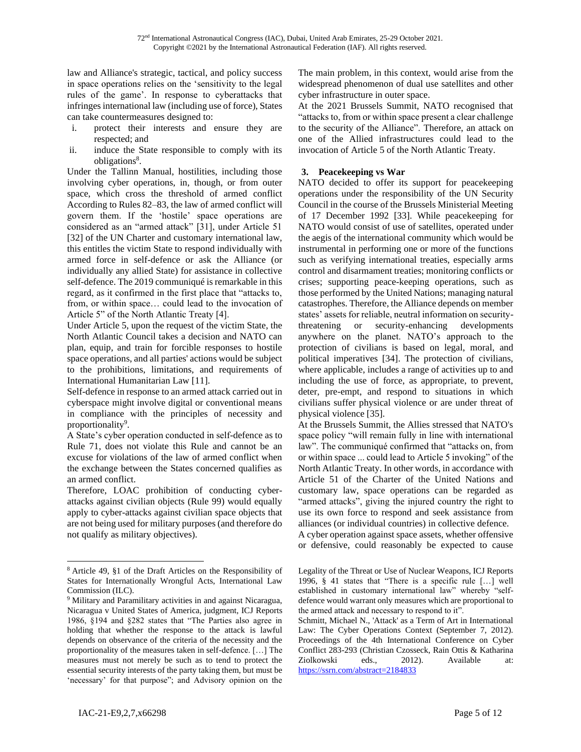law and Alliance's strategic, tactical, and policy success in space operations relies on the 'sensitivity to the legal rules of the game'. In response to cyberattacks that infringes international law (including use of force), States can take countermeasures designed to:

- i. protect their interests and ensure they are respected; and
- ii. induce the State responsible to comply with its obligations<sup>8</sup>.

Under the Tallinn Manual, hostilities, including those involving cyber operations, in, though, or from outer space, which cross the threshold of armed conflict According to Rules 82–83, the law of armed conflict will govern them. If the 'hostile' space operations are considered as an "armed attack" [31], under Article 51 [32] of the UN Charter and customary international law, this entitles the victim State to respond individually with armed force in self-defence or ask the Alliance (or individually any allied State) for assistance in collective self-defence. The 2019 communiqué is remarkable in this regard, as it confirmed in the first place that "attacks to, from, or within space… could lead to the invocation of Article 5" of the North Atlantic Treaty [4].

Under Article 5, upon the request of the victim State, the North Atlantic Council takes a decision and NATO can plan, equip, and train for forcible responses to hostile space operations, and all parties' actions would be subject to the prohibitions, limitations, and requirements of International Humanitarian Law [11].

Self-defence in response to an armed attack carried out in cyberspace might involve digital or conventional means in compliance with the principles of necessity and proportionality<sup>9</sup>.

A State's cyber operation conducted in self-defence as to Rule 71, does not violate this Rule and cannot be an excuse for violations of the law of armed conflict when the exchange between the States concerned qualifies as an armed conflict.

Therefore, LOAC prohibition of conducting cyberattacks against civilian objects (Rule 99) would equally apply to cyber-attacks against civilian space objects that are not being used for military purposes (and therefore do not qualify as military objectives).

The main problem, in this context, would arise from the widespread phenomenon of dual use satellites and other cyber infrastructure in outer space.

At the 2021 Brussels Summit, NATO recognised that "attacks to, from or within space present a clear challenge to the security of the Alliance". Therefore, an attack on one of the Allied infrastructures could lead to the invocation of Article 5 of the North Atlantic Treaty.

# **3. Peacekeeping vs War**

NATO decided to offer its support for peacekeeping operations under the responsibility of the UN Security Council in the course of the Brussels Ministerial Meeting of 17 December 1992 [33]. While peacekeeping for NATO would consist of use of satellites, operated under the aegis of the international community which would be instrumental in performing one or more of the functions such as verifying international treaties, especially arms control and disarmament treaties; monitoring conflicts or crises; supporting peace-keeping operations, such as those performed by the United Nations; managing natural catastrophes. Therefore, the Alliance depends on member states' assets for reliable, neutral information on securitythreatening or security-enhancing developments anywhere on the planet. NATO's approach to the protection of civilians is based on legal, moral, and political imperatives [34]. The protection of civilians, where applicable, includes a range of activities up to and including the use of force, as appropriate, to prevent, deter, pre-empt, and respond to situations in which civilians suffer physical violence or are under threat of physical violence [35].

At the Brussels Summit, the Allies stressed that NATO's space policy "will remain fully in line with international law". The communiqué confirmed that "attacks on, from or within space ... could lead to Article 5 invoking" of the North Atlantic Treaty. In other words, in accordance with Article 51 of the Charter of the United Nations and customary law, space operations can be regarded as "armed attacks", giving the injured country the right to use its own force to respond and seek assistance from alliances (or individual countries) in collective defence. A cyber operation against space assets, whether offensive or defensive, could reasonably be expected to cause

<sup>8</sup> Article 49, §1 of the Draft Articles on the Responsibility of States for Internationally Wrongful Acts, International Law Commission (ILC).

<sup>&</sup>lt;sup>9</sup> Military and Paramilitary activities in and against Nicaragua, Nicaragua v United States of America, judgment, ICJ Reports 1986, §194 and §282 states that "The Parties also agree in holding that whether the response to the attack is lawful depends on observance of the criteria of the necessity and the proportionality of the measures taken in self-defence. […] The measures must not merely be such as to tend to protect the essential security interests of the party taking them, but must be 'necessary' for that purpose"; and Advisory opinion on the

Legality of the Threat or Use of Nuclear Weapons, ICJ Reports 1996, § 41 states that "There is a specific rule […] well established in customary international law" whereby "selfdefence would warrant only measures which are proportional to the armed attack and necessary to respond to it".

Schmitt, Michael N., 'Attack' as a Term of Art in International Law: The Cyber Operations Context (September 7, 2012). Proceedings of the 4th International Conference on Cyber Conflict 283-293 (Christian Czosseck, Rain Ottis & Katharina Ziolkowski eds., 2012). Available at: <https://ssrn.com/abstract=2184833>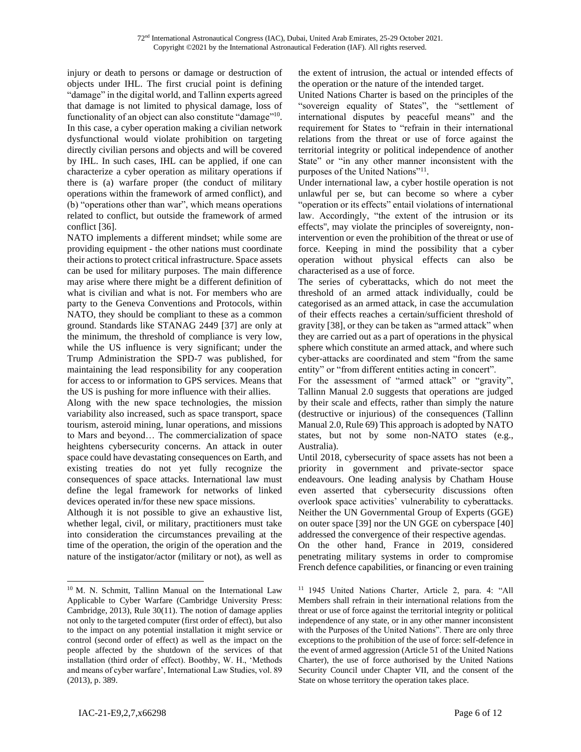injury or death to persons or damage or destruction of objects under IHL. The first crucial point is defining "damage" in the digital world, and Tallinn experts agreed that damage is not limited to physical damage, loss of functionality of an object can also constitute "damage"<sup>10</sup>. In this case, a cyber operation making a civilian network dysfunctional would violate prohibition on targeting directly civilian persons and objects and will be covered by IHL. In such cases, IHL can be applied, if one can characterize a cyber operation as military operations if there is (a) warfare proper (the conduct of military operations within the framework of armed conflict), and (b) "operations other than war", which means operations related to conflict, but outside the framework of armed conflict [36].

NATO implements a different mindset; while some are providing equipment - the other nations must coordinate their actions to protect critical infrastructure. Space assets can be used for military purposes. The main difference may arise where there might be a different definition of what is civilian and what is not. For members who are party to the Geneva Conventions and Protocols, within NATO, they should be compliant to these as a common ground. Standards like STANAG 2449 [37] are only at the minimum, the threshold of compliance is very low, while the US influence is very significant; under the Trump Administration the SPD-7 was published, for maintaining the lead responsibility for any cooperation for access to or information to GPS services. Means that the US is pushing for more influence with their allies.

Along with the new space technologies, the mission variability also increased, such as space transport, space tourism, asteroid mining, lunar operations, and missions to Mars and beyond… The commercialization of space heightens cybersecurity concerns. An attack in outer space could have devastating consequences on Earth, and existing treaties do not yet fully recognize the consequences of space attacks. International law must define the legal framework for networks of linked devices operated in/for these new space missions.

Although it is not possible to give an exhaustive list, whether legal, civil, or military, practitioners must take into consideration the circumstances prevailing at the time of the operation, the origin of the operation and the nature of the instigator/actor (military or not), as well as

the extent of intrusion, the actual or intended effects of the operation or the nature of the intended target.

United Nations Charter is based on the principles of the "sovereign equality of States", the "settlement of international disputes by peaceful means" and the requirement for States to "refrain in their international relations from the threat or use of force against the territorial integrity or political independence of another State" or "in any other manner inconsistent with the purposes of the United Nations"<sup>11</sup>.

Under international law, a cyber hostile operation is not unlawful per se, but can become so where a cyber "operation or its effects" entail violations of international law. Accordingly, "the extent of the intrusion or its effects'', may violate the principles of sovereignty, nonintervention or even the prohibition of the threat or use of force. Keeping in mind the possibility that a cyber operation without physical effects can also be characterised as a use of force.

The series of cyberattacks, which do not meet the threshold of an armed attack individually, could be categorised as an armed attack, in case the accumulation of their effects reaches a certain/sufficient threshold of gravity [38], or they can be taken as "armed attack" when they are carried out as a part of operations in the physical sphere which constitute an armed attack, and where such cyber-attacks are coordinated and stem "from the same entity" or "from different entities acting in concert".

For the assessment of "armed attack" or "gravity", Tallinn Manual 2.0 suggests that operations are judged by their scale and effects, rather than simply the nature (destructive or injurious) of the consequences (Tallinn Manual 2.0, Rule 69) This approach is adopted by NATO states, but not by some non-NATO states (e.g., Australia).

On the other hand, France in 2019, considered penetrating military systems in order to compromise French defence capabilities, or financing or even training

<sup>10</sup> M. N. Schmitt, Tallinn Manual on the International Law Applicable to Cyber Warfare (Cambridge University Press: Cambridge, 2013), Rule 30(11). The notion of damage applies not only to the targeted computer (first order of effect), but also to the impact on any potential installation it might service or control (second order of effect) as well as the impact on the people affected by the shutdown of the services of that installation (third order of effect). Boothby, W. H., 'Methods and means of cyber warfare', International Law Studies, vol. 89 (2013), p. 389.

Until 2018, cybersecurity of space assets has not been a priority in government and private-sector space endeavours. One leading analysis by Chatham House even asserted that cybersecurity discussions often overlook space activities' vulnerability to cyberattacks. Neither the UN Governmental Group of Experts (GGE) on outer space [39] nor the UN GGE on cyberspace [40] addressed the convergence of their respective agendas.

<sup>11</sup> 1945 United Nations Charter, Article 2, para. 4: "All Members shall refrain in their international relations from the threat or use of force against the territorial integrity or political independence of any state, or in any other manner inconsistent with the Purposes of the United Nations". There are only three exceptions to the prohibition of the use of force: self-defence in the event of armed aggression (Article 51 of the United Nations Charter), the use of force authorised by the United Nations Security Council under Chapter VII, and the consent of the State on whose territory the operation takes place.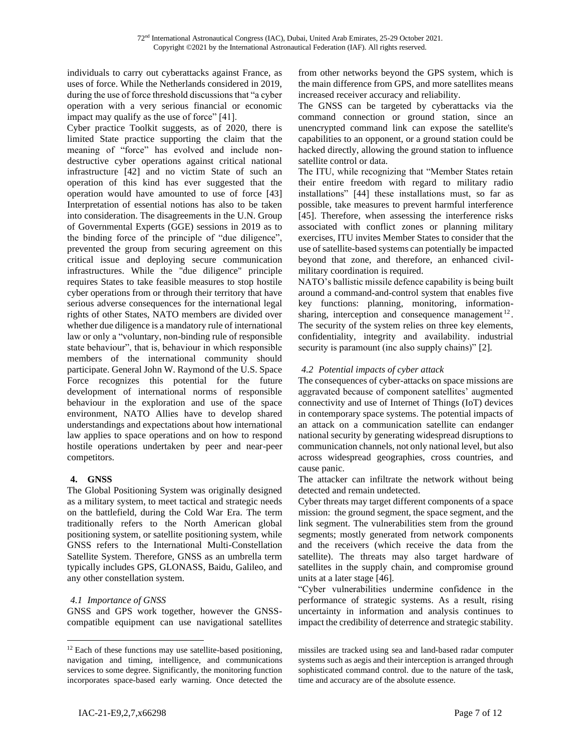individuals to carry out cyberattacks against France, as uses of force. While the Netherlands considered in 2019, during the use of force threshold discussions that "a cyber operation with a very serious financial or economic impact may qualify as the use of force" [41].

Cyber practice Toolkit suggests, as of 2020, there is limited State practice supporting the claim that the meaning of "force" has evolved and include nondestructive cyber operations against critical national infrastructure [42] and no victim State of such an operation of this kind has ever suggested that the operation would have amounted to use of force [43] Interpretation of essential notions has also to be taken into consideration. The disagreements in the U.N. Group of Governmental Experts (GGE) sessions in 2019 as to the binding force of the principle of "due diligence", prevented the group from securing agreement on this critical issue and deploying secure communication infrastructures. While the "due diligence" principle requires States to take feasible measures to stop hostile cyber operations from or through their territory that have serious adverse consequences for the international legal rights of other States, NATO members are divided over whether due diligence is a mandatory rule of international law or only a "voluntary, non-binding rule of responsible state behaviour", that is, behaviour in which responsible members of the international community should participate. General John W. Raymond of the U.S. Space Force recognizes this potential for the future development of international norms of responsible behaviour in the exploration and use of the space environment, NATO Allies have to develop shared understandings and expectations about how international law applies to space operations and on how to respond hostile operations undertaken by peer and near-peer competitors.

# **4. GNSS**

The Global Positioning System was originally designed as a military system, to meet tactical and strategic needs on the battlefield, during the Cold War Era. The term traditionally refers to the North American global positioning system, or satellite positioning system, while GNSS refers to the International Multi-Constellation Satellite System. Therefore, GNSS as an umbrella term typically includes GPS, GLONASS, Baidu, Galileo, and any other constellation system.

# *4.1 Importance of GNSS*

GNSS and GPS work together, however the GNSScompatible equipment can use navigational satellites from other networks beyond the GPS system, which is the main difference from GPS, and more satellites means increased receiver accuracy and reliability.

The GNSS can be targeted by cyberattacks via the command connection or ground station, since an unencrypted command link can expose the satellite's capabilities to an opponent, or a ground station could be hacked directly, allowing the ground station to influence satellite control or data.

The ITU, while recognizing that "Member States retain their entire freedom with regard to military radio installations" [44] these installations must, so far as possible, take measures to prevent harmful interference [45]. Therefore, when assessing the interference risks associated with conflict zones or planning military exercises, ITU invites Member States to consider that the use of satellite-based systems can potentially be impacted beyond that zone, and therefore, an enhanced civilmilitary coordination is required.

NATO's ballistic missile defence capability is being built around a command-and-control system that enables five key functions: planning, monitoring, informationsharing, interception and consequence management<sup>12</sup>. The security of the system relies on three key elements, confidentiality, integrity and availability. industrial security is paramount (inc also supply chains)" [2].

## *4.2 Potential impacts of cyber attack*

The consequences of cyber-attacks on space missions are aggravated because of component satellites' augmented connectivity and use of Internet of Things (IoT) devices in contemporary space systems. The potential impacts of an attack on a communication satellite can endanger national security by generating widespread disruptions to communication channels, not only national level, but also across widespread geographies, cross countries, and cause panic.

The attacker can infiltrate the network without being detected and remain undetected.

Cyber threats may target different components of a space mission: the ground segment, the space segment, and the link segment. The vulnerabilities stem from the ground segments; mostly generated from network components and the receivers (which receive the data from the satellite). The threats may also target hardware of satellites in the supply chain, and compromise ground units at a later stage [46].

"Cyber vulnerabilities undermine confidence in the performance of strategic systems. As a result, rising uncertainty in information and analysis continues to impact the credibility of deterrence and strategic stability.

 $12$  Each of these functions may use satellite-based positioning, navigation and timing, intelligence, and communications services to some degree. Significantly, the monitoring function incorporates space-based early warning. Once detected the

missiles are tracked using sea and land-based radar computer systems such as aegis and their interception is arranged through sophisticated command control. due to the nature of the task, time and accuracy are of the absolute essence.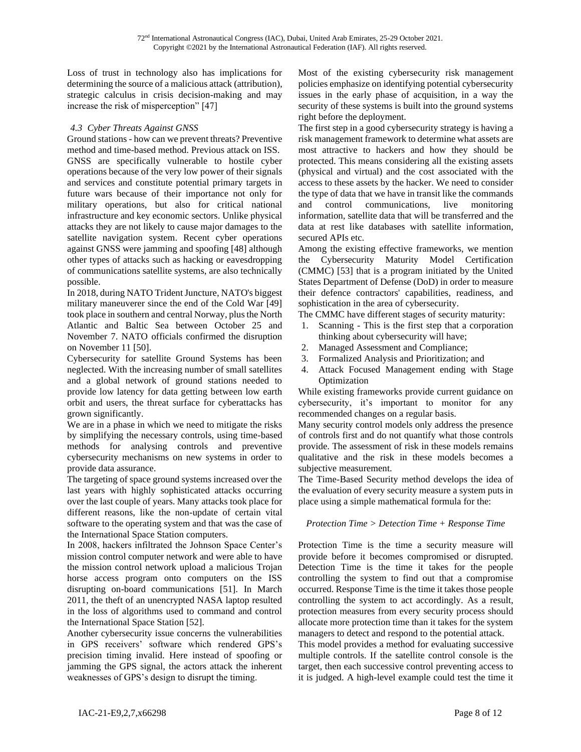Loss of trust in technology also has implications for determining the source of a malicious attack (attribution), strategic calculus in crisis decision-making and may increase the risk of misperception" [47]

## *4.3 Cyber Threats Against GNSS*

Ground stations - how can we prevent threats? Preventive method and time-based method. Previous attack on ISS. GNSS are specifically vulnerable to hostile cyber operations because of the very low power of their signals and services and constitute potential primary targets in future wars because of their importance not only for military operations, but also for critical national infrastructure and key economic sectors. Unlike physical attacks they are not likely to cause major damages to the satellite navigation system. Recent cyber operations against GNSS were jamming and spoofing [48] although other types of attacks such as hacking or eavesdropping of communications satellite systems, are also technically possible.

In 2018, during NATO Trident Juncture, NATO's biggest military maneuverer since the end of the Cold War [49] took place in southern and central Norway, plus the North Atlantic and Baltic Sea between October 25 and November 7. NATO officials confirmed the disruption on November 11 [50].

Cybersecurity for satellite Ground Systems has been neglected. With the increasing number of small satellites and a global network of ground stations needed to provide low latency for data getting between low earth orbit and users, the threat surface for cyberattacks has grown significantly.

We are in a phase in which we need to mitigate the risks by simplifying the necessary controls, using time-based methods for analysing controls and preventive cybersecurity mechanisms on new systems in order to provide data assurance.

The targeting of space ground systems increased over the last years with highly sophisticated attacks occurring over the last couple of years. Many attacks took place for different reasons, like the non-update of certain vital software to the operating system and that was the case of the International Space Station computers.

In 2008, hackers infiltrated the Johnson Space Center's mission control computer network and were able to have the mission control network upload a malicious Trojan horse access program onto computers on the ISS disrupting on-board communications [51]. In March 2011, the theft of an unencrypted NASA laptop resulted in the loss of algorithms used to command and control the International Space Station [52].

Another cybersecurity issue concerns the vulnerabilities in GPS receivers' software which rendered GPS's precision timing invalid. Here instead of spoofing or jamming the GPS signal, the actors attack the inherent weaknesses of GPS's design to disrupt the timing.

Most of the existing cybersecurity risk management policies emphasize on identifying potential cybersecurity issues in the early phase of acquisition, in a way the security of these systems is built into the ground systems right before the deployment.

The first step in a good cybersecurity strategy is having a risk management framework to determine what assets are most attractive to hackers and how they should be protected. This means considering all the existing assets (physical and virtual) and the cost associated with the access to these assets by the hacker. We need to consider the type of data that we have in transit like the commands and control communications, live monitoring information, satellite data that will be transferred and the data at rest like databases with satellite information, secured APIs etc.

Among the existing effective frameworks, we mention the Cybersecurity Maturity Model Certification (CMMC) [53] that is a program initiated by the United States Department of Defense (DoD) in order to measure their defence contractors' capabilities, readiness, and sophistication in the area of cybersecurity.

The CMMC have different stages of security maturity:

- 1. Scanning This is the first step that a corporation thinking about cybersecurity will have;
- 2. Managed Assessment and Compliance;
- 3. Formalized Analysis and Prioritization; and
- 4. Attack Focused Management ending with Stage Optimization

While existing frameworks provide current guidance on cybersecurity, it's important to monitor for any recommended changes on a regular basis.

Many security control models only address the presence of controls first and do not quantify what those controls provide. The assessment of risk in these models remains qualitative and the risk in these models becomes a subjective measurement.

The Time-Based Security method develops the idea of the evaluation of every security measure a system puts in place using a simple mathematical formula for the:

### *Protection Time > Detection Time + Response Time*

Protection Time is the time a security measure will provide before it becomes compromised or disrupted. Detection Time is the time it takes for the people controlling the system to find out that a compromise occurred. Response Time is the time it takes those people controlling the system to act accordingly. As a result, protection measures from every security process should allocate more protection time than it takes for the system managers to detect and respond to the potential attack.

This model provides a method for evaluating successive multiple controls. If the satellite control console is the target, then each successive control preventing access to it is judged. A high-level example could test the time it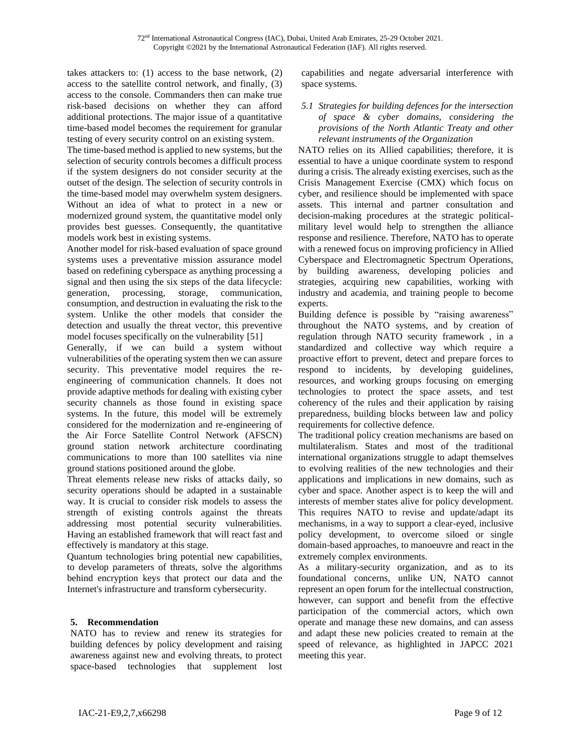takes attackers to: (1) access to the base network, (2) access to the satellite control network, and finally, (3) access to the console. Commanders then can make true risk-based decisions on whether they can afford additional protections. The major issue of a quantitative time-based model becomes the requirement for granular testing of every security control on an existing system.

The time-based method is applied to new systems, but the selection of security controls becomes a difficult process if the system designers do not consider security at the outset of the design. The selection of security controls in the time-based model may overwhelm system designers. Without an idea of what to protect in a new or modernized ground system, the quantitative model only provides best guesses. Consequently, the quantitative models work best in existing systems.

Another model for risk-based evaluation of space ground systems uses a preventative mission assurance model based on redefining cyberspace as anything processing a signal and then using the six steps of the data lifecycle: generation, processing, storage, communication, consumption, and destruction in evaluating the risk to the system. Unlike the other models that consider the detection and usually the threat vector, this preventive model focuses specifically on the vulnerability [51]

Generally, if we can build a system without vulnerabilities of the operating system then we can assure security. This preventative model requires the reengineering of communication channels. It does not provide adaptive methods for dealing with existing cyber security channels as those found in existing space systems. In the future, this model will be extremely considered for the modernization and re-engineering of the Air Force Satellite Control Network (AFSCN) ground station network architecture coordinating communications to more than 100 satellites via nine ground stations positioned around the globe.

Threat elements release new risks of attacks daily, so security operations should be adapted in a sustainable way. It is crucial to consider risk models to assess the strength of existing controls against the threats addressing most potential security vulnerabilities. Having an established framework that will react fast and effectively is mandatory at this stage.

Quantum technologies bring potential new capabilities, to develop parameters of threats, solve the algorithms behind encryption keys that protect our data and the Internet's infrastructure and transform cybersecurity.

# **5. Recommendation**

NATO has to review and renew its strategies for building defences by policy development and raising awareness against new and evolving threats, to protect space-based technologies that supplement lost

capabilities and negate adversarial interference with space systems.

### *5.1 Strategies for building defences for the intersection of space & cyber domains, considering the provisions of the North Atlantic Treaty and other relevant instruments of the Organization*

NATO relies on its Allied capabilities; therefore, it is essential to have a unique coordinate system to respond during a crisis. The already existing exercises, such as the Crisis Management Exercise (CMX) which focus on cyber, and resilience should be implemented with space assets. This internal and partner consultation and decision-making procedures at the strategic politicalmilitary level would help to strengthen the alliance response and resilience. Therefore, NATO has to operate with a renewed focus on improving proficiency in Allied Cyberspace and Electromagnetic Spectrum Operations, by building awareness, developing policies and strategies, acquiring new capabilities, working with industry and academia, and training people to become experts.

Building defence is possible by "raising awareness" throughout the NATO systems, and by creation of regulation through NATO security framework , in a standardized and collective way which require a proactive effort to prevent, detect and prepare forces to respond to incidents, by developing guidelines, resources, and working groups focusing on emerging technologies to protect the space assets, and test coherency of the rules and their application by raising preparedness, building blocks between law and policy requirements for collective defence.

The traditional policy creation mechanisms are based on multilateralism. States and most of the traditional international organizations struggle to adapt themselves to evolving realities of the new technologies and their applications and implications in new domains, such as cyber and space. Another aspect is to keep the will and interests of member states alive for policy development. This requires NATO to revise and update/adapt its mechanisms, in a way to support a clear-eyed, inclusive policy development, to overcome siloed or single domain-based approaches, to manoeuvre and react in the extremely complex environments.

As a military-security organization, and as to its foundational concerns, unlike UN, NATO cannot represent an open forum for the intellectual construction, however, can support and benefit from the effective participation of the commercial actors, which own operate and manage these new domains, and can assess and adapt these new policies created to remain at the speed of relevance, as highlighted in JAPCC 2021 meeting this year.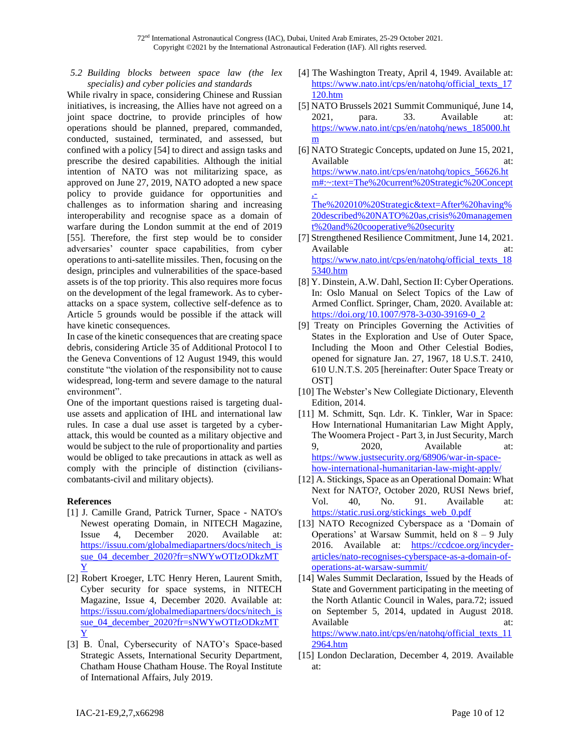*5.2 Building blocks between space law (the lex specialis) and cyber policies and standards*

While rivalry in space, considering Chinese and Russian initiatives, is increasing, the Allies have not agreed on a joint space doctrine, to provide principles of how operations should be planned, prepared, commanded, conducted, sustained, terminated, and assessed, but confined with a policy [54] to direct and assign tasks and prescribe the desired capabilities. Although the initial intention of NATO was not militarizing space, as approved on June 27, 2019, NATO adopted a new space policy to provide guidance for opportunities and challenges as to information sharing and increasing interoperability and recognise space as a domain of warfare during the London summit at the end of 2019 [55]. Therefore, the first step would be to consider adversaries' counter space capabilities, from cyber operations to anti-satellite missiles. Then, focusing on the design, principles and vulnerabilities of the space-based assets is of the top priority. This also requires more focus on the development of the legal framework. As to cyberattacks on a space system, collective self-defence as to Article 5 grounds would be possible if the attack will have kinetic consequences.

In case of the kinetic consequences that are creating space debris, considering Article 35 of Additional Protocol I to the Geneva Conventions of 12 August 1949, this would constitute "the violation of the responsibility not to cause widespread, long-term and severe damage to the natural environment".

One of the important questions raised is targeting dualuse assets and application of IHL and international law rules. In case a dual use asset is targeted by a cyberattack, this would be counted as a military objective and would be subject to the rule of proportionality and parties would be obliged to take precautions in attack as well as comply with the principle of distinction (civilianscombatants-civil and military objects).

### **References**

- [1] J. Camille Grand, Patrick Turner, Space NATO's Newest operating Domain, in NITECH Magazine, Issue 4, December 2020. Available at: [https://issuu.com/globalmediapartners/docs/nitech\\_is](https://issuu.com/globalmediapartners/docs/nitech_issue_04_december_2020?fr=sNWYwOTIzODkzMTY) [sue\\_04\\_december\\_2020?fr=sNWYwOTIzODkzMT](https://issuu.com/globalmediapartners/docs/nitech_issue_04_december_2020?fr=sNWYwOTIzODkzMTY) [Y](https://issuu.com/globalmediapartners/docs/nitech_issue_04_december_2020?fr=sNWYwOTIzODkzMTY)
- [2] Robert Kroeger, LTC Henry Heren, Laurent Smith, Cyber security for space systems, in NITECH Magazine, Issue 4, December 2020. Available at: [https://issuu.com/globalmediapartners/docs/nitech\\_is](https://issuu.com/globalmediapartners/docs/nitech_issue_04_december_2020?fr=sNWYwOTIzODkzMTY) [sue\\_04\\_december\\_2020?fr=sNWYwOTIzODkzMT](https://issuu.com/globalmediapartners/docs/nitech_issue_04_december_2020?fr=sNWYwOTIzODkzMTY) [Y](https://issuu.com/globalmediapartners/docs/nitech_issue_04_december_2020?fr=sNWYwOTIzODkzMTY)
- [3] B. Ünal, Cybersecurity of NATO's Space-based Strategic Assets, International Security Department, Chatham House Chatham House. The Royal Institute of International Affairs, July 2019.
- [4] The Washington Treaty, April 4, 1949. Available at: [https://www.nato.int/cps/en/natohq/official\\_texts\\_17](https://www.nato.int/cps/en/natohq/official_texts_17120.htm) [120.htm](https://www.nato.int/cps/en/natohq/official_texts_17120.htm)
- [5] NATO Brussels 2021 Summit Communiqué, June 14, 2021, para. 33. Available at: [https://www.nato.int/cps/en/natohq/news\\_185000.ht](https://www.nato.int/cps/en/natohq/news_185000.htm) [m](https://www.nato.int/cps/en/natohq/news_185000.htm)
- [6] NATO Strategic Concepts, updated on June 15, 2021, Available at: [https://www.nato.int/cps/en/natohq/topics\\_56626.ht](https://www.nato.int/cps/en/natohq/topics_56626.htm#:~:text=The%20current%20Strategic%20Concept,-The%202010%20Strategic&text=After%20having%20described%20NATO%20as,crisis%20management%20and%20cooperative%20security) [m#:~:text=The%20current%20Strategic%20Concept](https://www.nato.int/cps/en/natohq/topics_56626.htm#:~:text=The%20current%20Strategic%20Concept,-The%202010%20Strategic&text=After%20having%20described%20NATO%20as,crisis%20management%20and%20cooperative%20security) [,-](https://www.nato.int/cps/en/natohq/topics_56626.htm#:~:text=The%20current%20Strategic%20Concept,-The%202010%20Strategic&text=After%20having%20described%20NATO%20as,crisis%20management%20and%20cooperative%20security) [The%202010%20Strategic&text=After%20having%](https://www.nato.int/cps/en/natohq/topics_56626.htm#:~:text=The%20current%20Strategic%20Concept,-The%202010%20Strategic&text=After%20having%20described%20NATO%20as,crisis%20management%20and%20cooperative%20security) [20described%20NATO%20as,crisis%20managemen](https://www.nato.int/cps/en/natohq/topics_56626.htm#:~:text=The%20current%20Strategic%20Concept,-The%202010%20Strategic&text=After%20having%20described%20NATO%20as,crisis%20management%20and%20cooperative%20security) [t%20and%20cooperative%20security](https://www.nato.int/cps/en/natohq/topics_56626.htm#:~:text=The%20current%20Strategic%20Concept,-The%202010%20Strategic&text=After%20having%20described%20NATO%20as,crisis%20management%20and%20cooperative%20security)
- [7] Strengthened Resilience Commitment, June 14, 2021. Available at: at: [https://www.nato.int/cps/en/natohq/official\\_texts\\_18](https://www.nato.int/cps/en/natohq/official_texts_185340.htm) [5340.htm](https://www.nato.int/cps/en/natohq/official_texts_185340.htm)
- [8] Y. Dinstein, A.W. Dahl, Section II: Cyber Operations. In: Oslo Manual on Select Topics of the Law of Armed Conflict. Springer, Cham, 2020. Available at: [https://doi.org/10.1007/978-3-030-39169-0\\_2](https://doi.org/10.1007/978-3-030-39169-0_2)
- [9] Treaty on Principles Governing the Activities of States in the Exploration and Use of Outer Space, Including the Moon and Other Celestial Bodies, opened for signature Jan. 27, 1967, 18 U.S.T. 2410, 610 U.N.T.S. 205 [hereinafter: Outer Space Treaty or OST]
- [10] The Webster's New Collegiate Dictionary, Eleventh Edition, 2014.
- [11] M. Schmitt, Sqn. Ldr. K. Tinkler, War in Space: How International Humanitarian Law Might Apply, The Woomera Project - Part 3, in Just Security, March 9, 2020, Available at: [https://www.justsecurity.org/68906/war-in-space](https://www.justsecurity.org/68906/war-in-space-how-international-humanitarian-law-might-apply/)[how-international-humanitarian-law-might-apply/](https://www.justsecurity.org/68906/war-in-space-how-international-humanitarian-law-might-apply/)
- [12] A. Stickings, Space as an Operational Domain: What Next for NATO?, October 2020, RUSI News brief, Vol. 40, No. 91. Available at: [https://static.rusi.org/stickings\\_web\\_0.pdf](https://static.rusi.org/stickings_web_0.pdf)
- [13] NATO Recognized Cyberspace as a 'Domain of Operations' at Warsaw Summit, held on 8 – 9 July 2016. Available at: [https://ccdcoe.org/incyder](https://ccdcoe.org/incyder-articles/nato-recognises-cyberspace-as-a-domain-of-operations-at-warsaw-summit/)[articles/nato-recognises-cyberspace-as-a-domain-of](https://ccdcoe.org/incyder-articles/nato-recognises-cyberspace-as-a-domain-of-operations-at-warsaw-summit/)[operations-at-warsaw-summit/](https://ccdcoe.org/incyder-articles/nato-recognises-cyberspace-as-a-domain-of-operations-at-warsaw-summit/)
- [14] Wales Summit Declaration, Issued by the Heads of State and Government participating in the meeting of the North Atlantic Council in Wales, para.72; issued on September 5, 2014, updated in August 2018. Available at: at: [https://www.nato.int/cps/en/natohq/official\\_texts\\_11](https://www.nato.int/cps/en/natohq/official_texts_112964.htm) [2964.htm](https://www.nato.int/cps/en/natohq/official_texts_112964.htm)
- [15] London Declaration, December 4, 2019. Available at: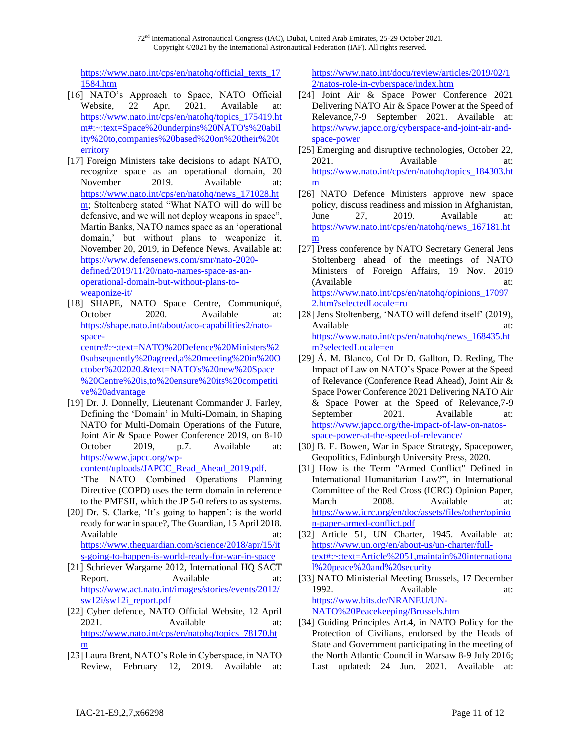72nd International Astronautical Congress (IAC), Dubai, United Arab Emirates, 25-29 October 2021. Copyright ©2021 by the International Astronautical Federation (IAF). All rights reserved.

[https://www.nato.int/cps/en/natohq/official\\_texts\\_17](https://www.nato.int/cps/en/natohq/official_texts_171584.htm) [1584.htm](https://www.nato.int/cps/en/natohq/official_texts_171584.htm)

- [16] NATO's Approach to Space, NATO Official Website, 22 Apr. 2021. Available at: [https://www.nato.int/cps/en/natohq/topics\\_175419.ht](https://www.nato.int/cps/en/natohq/topics_175419.htm#:~:text=Space%20underpins%20NATO) [m#:~:text=Space%20underpins%20NATO's%20abil](https://www.nato.int/cps/en/natohq/topics_175419.htm#:~:text=Space%20underpins%20NATO) [ity%20to,companies%20based%20on%20their%20t](https://www.nato.int/cps/en/natohq/topics_175419.htm#:~:text=Space%20underpins%20NATO) [erritory](https://www.nato.int/cps/en/natohq/topics_175419.htm#:~:text=Space%20underpins%20NATO)
- [17] Foreign Ministers take decisions to adapt NATO, recognize space as an operational domain, 20 November 2019. Available at: [https://www.nato.int/cps/en/natohq/news\\_171028.ht](https://www.nato.int/cps/en/natohq/news_171028.htm) [m;](https://www.nato.int/cps/en/natohq/news_171028.htm) Stoltenberg stated "What NATO will do will be defensive, and we will not deploy weapons in space", Martin Banks, NATO names space as an 'operational domain,' but without plans to weaponize it, November 20, 2019, in Defence News. Available at: [https://www.defensenews.com/smr/nato-2020](https://www.defensenews.com/smr/nato-2020-defined/2019/11/20/nato-names-space-as-an-operational-domain-but-without-plans-to-weaponize-it/) [defined/2019/11/20/nato-names-space-as-an](https://www.defensenews.com/smr/nato-2020-defined/2019/11/20/nato-names-space-as-an-operational-domain-but-without-plans-to-weaponize-it/)[operational-domain-but-without-plans-to](https://www.defensenews.com/smr/nato-2020-defined/2019/11/20/nato-names-space-as-an-operational-domain-but-without-plans-to-weaponize-it/)[weaponize-it/](https://www.defensenews.com/smr/nato-2020-defined/2019/11/20/nato-names-space-as-an-operational-domain-but-without-plans-to-weaponize-it/)
- [18] SHAPE, NATO Space Centre, Communiqué, October 2020. Available at: [https://shape.nato.int/about/aco-capabilities2/nato](https://shape.nato.int/about/aco-capabilities2/nato-space-centre#:~:text=NATO%20Defence%20Ministers%20subsequently%20agreed,a%20meeting%20in%20October%202020.&text=NATO)[space](https://shape.nato.int/about/aco-capabilities2/nato-space-centre#:~:text=NATO%20Defence%20Ministers%20subsequently%20agreed,a%20meeting%20in%20October%202020.&text=NATO)[centre#:~:text=NATO%20Defence%20Ministers%2](https://shape.nato.int/about/aco-capabilities2/nato-space-centre#:~:text=NATO%20Defence%20Ministers%20subsequently%20agreed,a%20meeting%20in%20October%202020.&text=NATO) [0subsequently%20agreed,a%20meeting%20in%20O](https://shape.nato.int/about/aco-capabilities2/nato-space-centre#:~:text=NATO%20Defence%20Ministers%20subsequently%20agreed,a%20meeting%20in%20October%202020.&text=NATO) [ctober%202020.&text=NATO's%20new%20Space](https://shape.nato.int/about/aco-capabilities2/nato-space-centre#:~:text=NATO%20Defence%20Ministers%20subsequently%20agreed,a%20meeting%20in%20October%202020.&text=NATO) [%20Centre%20is,to%20ensure%20its%20competiti](https://shape.nato.int/about/aco-capabilities2/nato-space-centre#:~:text=NATO%20Defence%20Ministers%20subsequently%20agreed,a%20meeting%20in%20October%202020.&text=NATO) [ve%20advantage](https://shape.nato.int/about/aco-capabilities2/nato-space-centre#:~:text=NATO%20Defence%20Ministers%20subsequently%20agreed,a%20meeting%20in%20October%202020.&text=NATO)
- [19] Dr. J. Donnelly, Lieutenant Commander J. Farley, Defining the 'Domain' in Multi-Domain, in Shaping NATO for Multi-Domain Operations of the Future, Joint Air & Space Power Conference 2019, on 8-10 October 2019, p.7. Available at: [https://www.japcc.org/wp](https://www.japcc.org/wp-content/uploads/JAPCC_Read_Ahead_2019.pdf)[content/uploads/JAPCC\\_Read\\_Ahead\\_2019.pdf.](https://www.japcc.org/wp-content/uploads/JAPCC_Read_Ahead_2019.pdf)

'The NATO Combined Operations Planning Directive (COPD) uses the term domain in reference to the PMESII, which the JP 5-0 refers to as systems.

- [20] Dr. S. Clarke, 'It's going to happen': is the world ready for war in space?, The Guardian, 15 April 2018. Available at: at: [https://www.theguardian.com/science/2018/apr/15/it](https://www.theguardian.com/science/2018/apr/15/its-going-to-happen-is-world-ready-for-war-in-space) [s-going-to-happen-is-world-ready-for-war-in-space](https://www.theguardian.com/science/2018/apr/15/its-going-to-happen-is-world-ready-for-war-in-space)
- [21] Schriever Wargame 2012, International HQ SACT Report. Available at: [https://www.act.nato.int/images/stories/events/2012/](https://www.act.nato.int/images/stories/events/2012/sw12i/sw12i_report.pdf) [sw12i/sw12i\\_report.pdf](https://www.act.nato.int/images/stories/events/2012/sw12i/sw12i_report.pdf)
- [22] Cyber defence, NATO Official Website, 12 April 2021. Available at: [https://www.nato.int/cps/en/natohq/topics\\_78170.ht](https://www.nato.int/cps/en/natohq/topics_78170.htm) [m](https://www.nato.int/cps/en/natohq/topics_78170.htm)
- [23] Laura Brent, NATO's Role in Cyberspace, in NATO Review, February 12, 2019. Available at:

[https://www.nato.int/docu/review/articles/2019/02/1](https://www.nato.int/docu/review/articles/2019/02/12/natos-role-in-cyberspace/index.htm) [2/natos-role-in-cyberspace/index.htm](https://www.nato.int/docu/review/articles/2019/02/12/natos-role-in-cyberspace/index.htm)

- [24] Joint Air & Space Power Conference 2021 Delivering NATO Air & Space Power at the Speed of Relevance,7-9 September 2021. Available at: [https://www.japcc.org/cyberspace-and-joint-air-and](https://www.japcc.org/cyberspace-and-joint-air-and-space-power)[space-power](https://www.japcc.org/cyberspace-and-joint-air-and-space-power)
- [25] Emerging and disruptive technologies, October 22, 2021. Available at: [https://www.nato.int/cps/en/natohq/topics\\_184303.ht](https://www.nato.int/cps/en/natohq/topics_184303.htm) [m](https://www.nato.int/cps/en/natohq/topics_184303.htm)
- [26] NATO Defence Ministers approve new space policy, discuss readiness and mission in Afghanistan, June 27, 2019. Available at: [https://www.nato.int/cps/en/natohq/news\\_167181.ht](https://www.nato.int/cps/en/natohq/news_167181.htm) [m](https://www.nato.int/cps/en/natohq/news_167181.htm)
- [27] Press conference by NATO Secretary General Jens Stoltenberg ahead of the meetings of NATO Ministers of Foreign Affairs, 19 Nov. 2019 (Available at: [https://www.nato.int/cps/en/natohq/opinions\\_17097](https://www.nato.int/cps/en/natohq/opinions_170972.htm?selectedLocale=ru) [2.htm?selectedLocale=ru](https://www.nato.int/cps/en/natohq/opinions_170972.htm?selectedLocale=ru)
- [28] Jens Stoltenberg, 'NATO will defend itself' (2019), Available at: at: [https://www.nato.int/cps/en/natohq/news\\_168435.ht](https://www.nato.int/cps/en/natohq/news_168435.htm?selectedLocale=en) [m?selectedLocale=en](https://www.nato.int/cps/en/natohq/news_168435.htm?selectedLocale=en)
- [29] Á. M. Blanco, Col Dr D. Gallton, D. Reding, The Impact of Law on NATO's Space Power at the Speed of Relevance (Conference Read Ahead), Joint Air & Space Power Conference 2021 Delivering NATO Air & Space Power at the Speed of Relevance,7-9 September 2021. Available at: [https://www.japcc.org/the-impact-of-law-on-natos](https://www.japcc.org/the-impact-of-law-on-natos-space-power-at-the-speed-of-relevance/)[space-power-at-the-speed-of-relevance/](https://www.japcc.org/the-impact-of-law-on-natos-space-power-at-the-speed-of-relevance/)
- [30] B. E. Bowen, War in Space Strategy, Spacepower, Geopolitics, Edinburgh University Press, 2020.
- [31] How is the Term "Armed Conflict" Defined in International Humanitarian Law?", in International Committee of the Red Cross (ICRC) Opinion Paper, March 2008. Available at: [https://www.icrc.org/en/doc/assets/files/other/opinio](https://www.icrc.org/en/doc/assets/files/other/opinion-paper-armed-conflict.pdf) [n-paper-armed-conflict.pdf](https://www.icrc.org/en/doc/assets/files/other/opinion-paper-armed-conflict.pdf)
- [32] Article 51, UN Charter, 1945. Available at: [https://www.un.org/en/about-us/un-charter/full](https://www.un.org/en/about-us/un-charter/full-text#:~:text=Article%2051,maintain%20international%20peace%20and%20security)[text#:~:text=Article%2051,maintain%20internationa](https://www.un.org/en/about-us/un-charter/full-text#:~:text=Article%2051,maintain%20international%20peace%20and%20security) [l%20peace%20and%20security](https://www.un.org/en/about-us/un-charter/full-text#:~:text=Article%2051,maintain%20international%20peace%20and%20security)
- [33] NATO Ministerial Meeting Brussels, 17 December 1992. Available at: [https://www.bits.de/NRANEU/UN-](https://www.bits.de/NRANEU/UN-NATO%20Peacekeeping/Brussels.htm)[NATO%20Peacekeeping/Brussels.htm](https://www.bits.de/NRANEU/UN-NATO%20Peacekeeping/Brussels.htm)
- [34] Guiding Principles Art.4, in NATO Policy for the Protection of Civilians, endorsed by the Heads of State and Government participating in the meeting of the North Atlantic Council in Warsaw 8-9 July 2016; Last updated: 24 Jun. 2021. Available at: